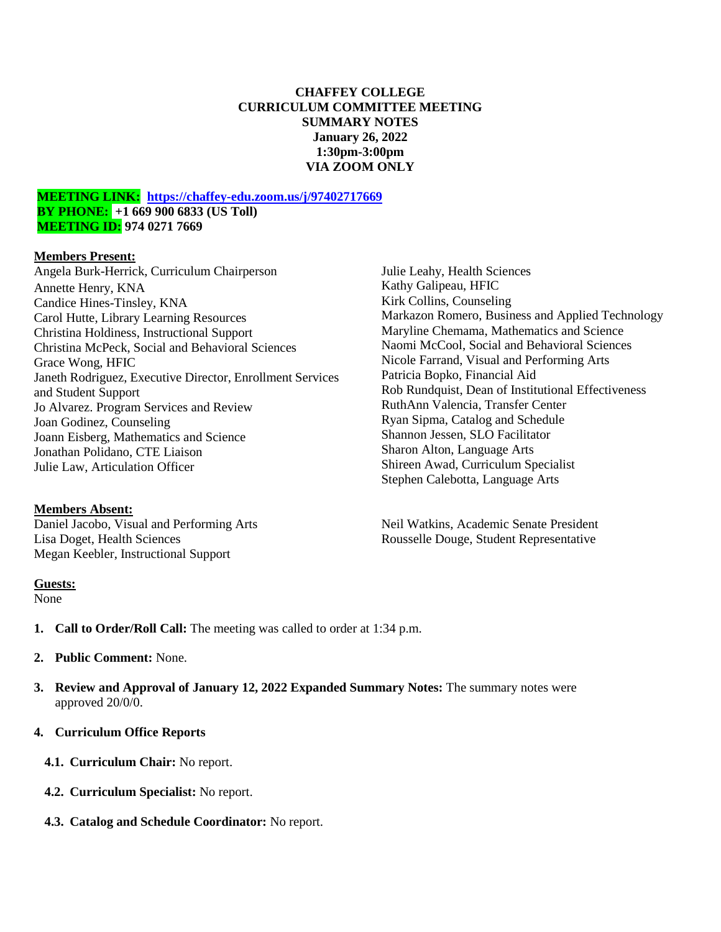#### **CHAFFEY COLLEGE CURRICULUM COMMITTEE MEETING SUMMARY NOTES January 26, 2022 1:30pm-3:00pm VIA ZOOM ONLY**

#### **MEETING LINK: <https://chaffey-edu.zoom.us/j/97402717669> BY PHONE: +1 669 900 6833 (US Toll) MEETING ID: 974 0271 7669**

#### **Members Present:**

Angela Burk-Herrick, Curriculum Chairperson Annette Henry, KNA Candice Hines-Tinsley, KNA Carol Hutte, Library Learning Resources Christina Holdiness, Instructional Support Christina McPeck, Social and Behavioral Sciences Grace Wong, HFIC Janeth Rodriguez, Executive Director, Enrollment Services and Student Support Jo Alvarez. Program Services and Review Joan Godinez, Counseling Joann Eisberg, Mathematics and Science Jonathan Polidano, CTE Liaison Julie Law, Articulation Officer

## **Members Absent:**

Daniel Jacobo, Visual and Performing Arts Lisa Doget, Health Sciences Megan Keebler, Instructional Support

#### **Guests:**

None

- **1. Call to Order/Roll Call:** The meeting was called to order at 1:34 p.m.
- **2. Public Comment:** None.
- **3. Review and Approval of January 12, 2022 Expanded Summary Notes:** The summary notes were approved 20/0/0.
- **4. Curriculum Office Reports**
	- **4.1. Curriculum Chair:** No report.
	- **4.2. Curriculum Specialist:** No report.
	- **4.3. Catalog and Schedule Coordinator:** No report.

Julie Leahy, Health Sciences Kathy Galipeau, HFIC Kirk Collins, Counseling Markazon Romero, Business and Applied Technology Maryline Chemama, Mathematics and Science Naomi McCool, Social and Behavioral Sciences Nicole Farrand, Visual and Performing Arts Patricia Bopko, Financial Aid Rob Rundquist, Dean of Institutional Effectiveness RuthAnn Valencia, Transfer Center Ryan Sipma, Catalog and Schedule Shannon Jessen, SLO Facilitator Sharon Alton, Language Arts Shireen Awad, Curriculum Specialist Stephen Calebotta, Language Arts

Neil Watkins, Academic Senate President Rousselle Douge, Student Representative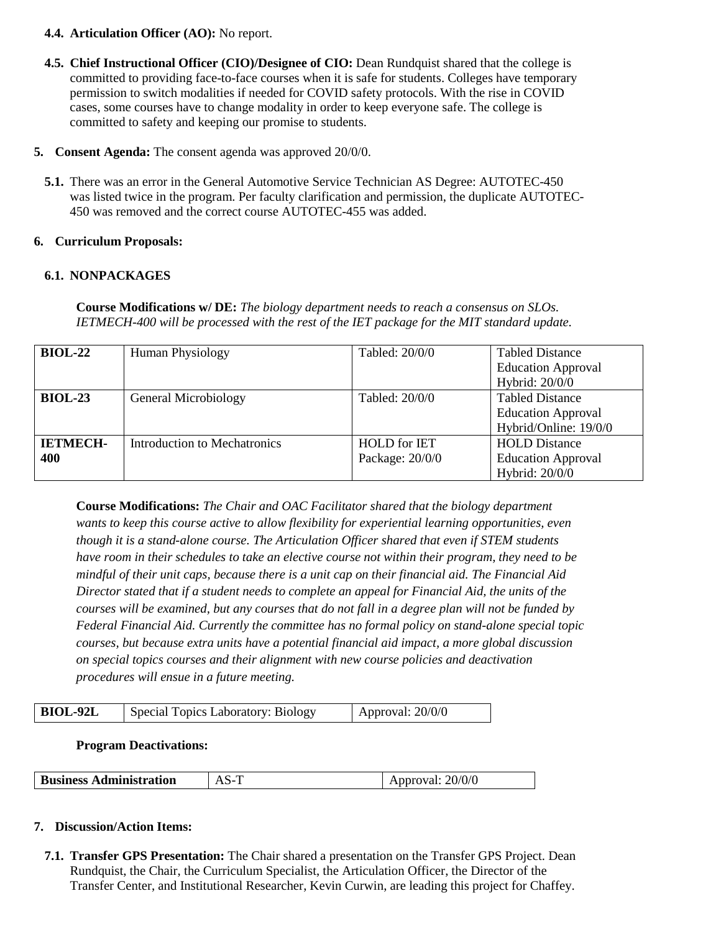#### **4.4. Articulation Officer (AO):** No report.

- **4.5. Chief Instructional Officer (CIO)/Designee of CIO:** Dean Rundquist shared that the college is committed to providing face-to-face courses when it is safe for students. Colleges have temporary permission to switch modalities if needed for COVID safety protocols. With the rise in COVID cases, some courses have to change modality in order to keep everyone safe. The college is committed to safety and keeping our promise to students.
- **5. Consent Agenda:** The consent agenda was approved 20/0/0.
	- **5.1.** There was an error in the General Automotive Service Technician AS Degree: AUTOTEC-450 was listed twice in the program. Per faculty clarification and permission, the duplicate AUTOTEC-450 was removed and the correct course AUTOTEC-455 was added.

## **6. Curriculum Proposals:**

## **6.1. NONPACKAGES**

**Course Modifications w/ DE:** *The biology department needs to reach a consensus on SLOs. IETMECH-400 will be processed with the rest of the IET package for the MIT standard update.*

| $BIOL-22$       | <b>Human Physiology</b>             | Tabled: 20/0/0             | <b>Tabled Distance</b>    |  |
|-----------------|-------------------------------------|----------------------------|---------------------------|--|
|                 |                                     |                            | <b>Education Approval</b> |  |
|                 |                                     |                            | Hybrid: 20/0/0            |  |
| $BIOL-23$       | General Microbiology                | Tabled: 20/0/0             | <b>Tabled Distance</b>    |  |
|                 |                                     |                            | <b>Education Approval</b> |  |
|                 |                                     |                            | Hybrid/Online: 19/0/0     |  |
| <b>IETMECH-</b> | <b>Introduction to Mechatronics</b> | <b>HOLD</b> for <b>IET</b> | <b>HOLD</b> Distance      |  |
| 400             |                                     | Package: 20/0/0            | <b>Education Approval</b> |  |
|                 |                                     |                            | Hybrid: 20/0/0            |  |

**Course Modifications:** *The Chair and OAC Facilitator shared that the biology department wants to keep this course active to allow flexibility for experiential learning opportunities, even though it is a stand-alone course. The Articulation Officer shared that even if STEM students have room in their schedules to take an elective course not within their program, they need to be mindful of their unit caps, because there is a unit cap on their financial aid. The Financial Aid Director stated that if a student needs to complete an appeal for Financial Aid, the units of the courses will be examined, but any courses that do not fall in a degree plan will not be funded by Federal Financial Aid. Currently the committee has no formal policy on stand-alone special topic courses, but because extra units have a potential financial aid impact, a more global discussion on special topics courses and their alignment with new course policies and deactivation procedures will ensue in a future meeting.*

| $\overline{BIOL-92L}$<br>Special Topics Laboratory: Biology | Approval: $20/0/0$ |
|-------------------------------------------------------------|--------------------|
|-------------------------------------------------------------|--------------------|

#### **Program Deactivations:**

| <b>Business Administration</b> | Approval: 20/0/0 |
|--------------------------------|------------------|

# **7. Discussion/Action Items:**

**7.1. Transfer GPS Presentation:** The Chair shared a presentation on the Transfer GPS Project. Dean Rundquist, the Chair, the Curriculum Specialist, the Articulation Officer, the Director of the Transfer Center, and Institutional Researcher, Kevin Curwin, are leading this project for Chaffey.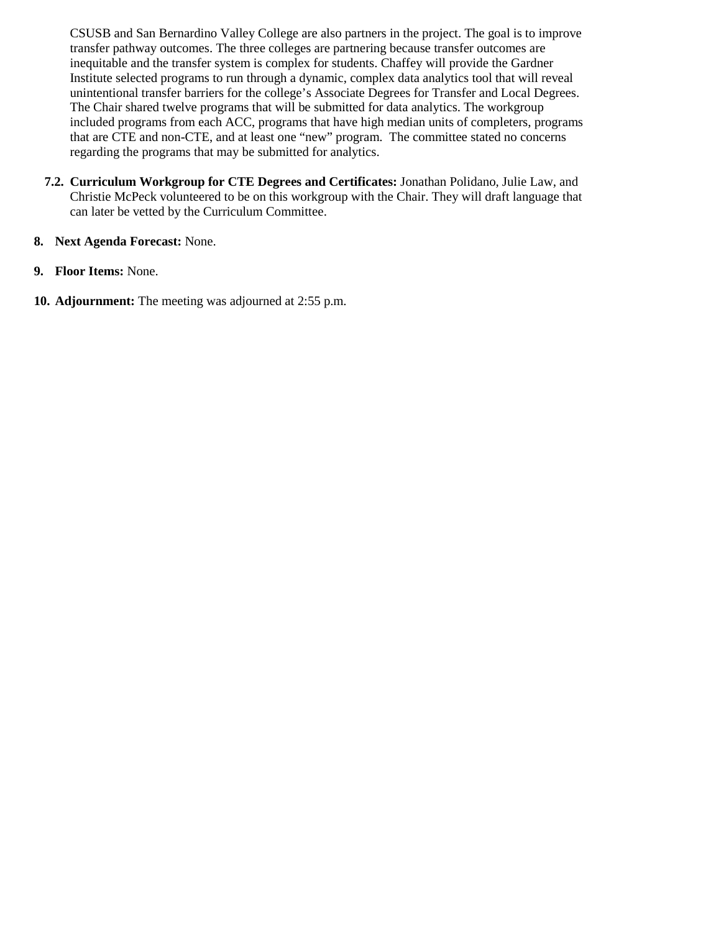CSUSB and San Bernardino Valley College are also partners in the project. The goal is to improve transfer pathway outcomes. The three colleges are partnering because transfer outcomes are inequitable and the transfer system is complex for students. Chaffey will provide the Gardner Institute selected programs to run through a dynamic, complex data analytics tool that will reveal unintentional transfer barriers for the college's Associate Degrees for Transfer and Local Degrees. The Chair shared twelve programs that will be submitted for data analytics. The workgroup included programs from each ACC, programs that have high median units of completers, programs that are CTE and non-CTE, and at least one "new" program. The committee stated no concerns regarding the programs that may be submitted for analytics.

**7.2. Curriculum Workgroup for CTE Degrees and Certificates:** Jonathan Polidano, Julie Law, and Christie McPeck volunteered to be on this workgroup with the Chair. They will draft language that can later be vetted by the Curriculum Committee.

#### **8. Next Agenda Forecast:** None.

- **9. Floor Items:** None.
- **10. Adjournment:** The meeting was adjourned at 2:55 p.m.